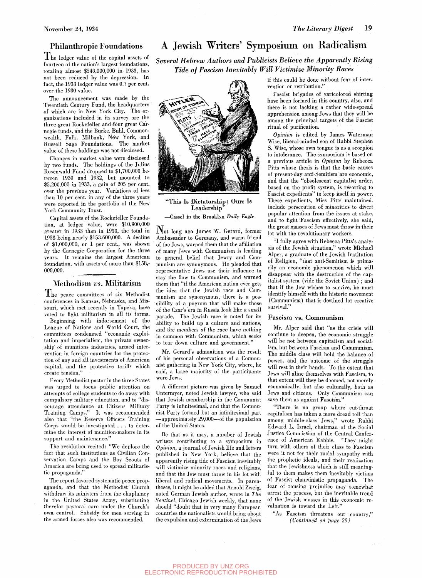The ledger value of the capital assets of fourteen of the nation's largest foundations, totaling almost \$549,000,000 in 1933, has not been reduced by the depression. In fact, the 1933 ledger value was 0.7 per cent. over the 1930 value.

The announcement was made by the Twentieth Century Fund, the headquarters of which are in New York City. The organizations included in its survey are the three great Rockefeller, and four great Carnegie funds, and the Burke, Buhl, Commonwealth, Falk, Milbank, New York, and Russell Sage Foundations. The market value of these holdings was not disclosed.

Changes in market value were disclosed by two funds. The holdings of the Julius Rosenwald Fund dropped to \$1,700,000 between 1930 and 1932, but mounted to \$5,200,000 in 1933, a gain of 205 per cent, over the previous year. Variations of less than 10 per cent, in any of the three years were reported in the portfolio of the New York Community Trust.

Capital assets of the Rockefeller Foundation, at ledger value, were \$10,900,000 greater in 1933 than in 1930, the total in 1933 being nearly \$153,600,000. A decline of \$1,000,000, or 1 per cent., was shown by the Carnegie Corporation for the three years. It remains the largest American foundation, with assets of more than \$158,- 000,000.

## Methodism *vs.* Militarism

 $\mathrm{T}_{\mathrm{he}}$  peace committees of six Methodist conferences in Kansas, Nebraska, and Missouri, which met recently in Topeka, have voted to fight militarism in all its forms.

 $\operatorname{Beginning}$  with  $\operatorname{indorsement}$  of the League of Nations and World Court, the committees condemned "economic exploitation and imperialism, the private ownership of munitions industries, armed intervention in foreign countries for the protection of any and all investments of American capital, and the protective tariffs which create tension."

Every Methodist pastor in the three States was urged to focus public attention on attempts of college students to do away with compulsory military education, and to "discourage attendance at Citizens Military Training Camps." It was recommended also that "the Reserve Officers Training Corps would be investigated .. . to determine the interest of munition-makers in its support and maintenance."

The resolution recited: "We deplore the fact that such institutions as Civilian Conservation Camps and the Boy Scouts of America are being used to spread militaristic propaganda."

The report favored systematic peace propaganda, and that the Methodist Church withdraw its ministers from the chaplaincy in the United States Army, substituting therefor pastoral care under the Church's own control. Subsidy for men serving in the armed forces also was recommended.

## Philanthropic Foundations A Jewish Writers' Symposium on Radicalism

*Several Hebrew Authors and Publicists Believe the Apparently Rising Tide of Fascism Inevitably Will Victimize Minority Races* 



**"This Is Dictatorship; Ours Is Leadership"** 

—Cassel in the Brooklyn *Daily Eagle* 

 $\mathbf N$ ot long ago James W. Gerard, former Ambassador to Germany, and warm friend of the Jews, warned them that the affiliation of many Jews with Communism is leading to general belief that Jewry and Communism are synonymous. He pleaded that representative Jews use their influence to stay the flow to Communism, and warned them that "if the American nation ever gets the idea that the Jewish race and Communism are synonymous, there is a possibility of a pogrom that will make those of the Czar's era in Russia look like a small parade. The Jewish race is noted for its ability to build up a culture and nations, and the members of the race have nothing in common with Communism, which seeks to tear down culture and government."

Mr. Gerard's admonition was the result of his personal observations of a Communist gathering in New York City, where, he said, a large majority of the participants were Jews.

A different picture was given by Samuel Untermyer, noted Jewish lawyer, who said that Jewish membership in the Communist Party is infinitesimal, and that the Communist Party formed but an infinitesimal part —approximately 29,000—of the population of the United States.

Be that as it may, a number of Jewish writers contributing to a symposium in *Opinion,* a journal of Jewish life and letters published in New York, believe that the apparently rising tide of Fascism inevitably will victimize minority races and religions, and that the Jew must throw in his lot with liberal and radical movements. In parentheses, it might be added that Arnold Zweig, noted German Jewish author, wrote in *The Sentinel,* Chicago Jewish weekly, that none should "doubt that in very many European countries the nationalists would bring about the expulsion and extermination of the Jews

if this could be done without fear of intervention or retribution."

Fascist brigades of varicolored shirting have been formed in this country, also, and there is not lacking a rather wide-spread apprehension among Jews that they will be among the principal targets of the Fascist ritual of purification.

*Opinion* is edited by James Waterman Wise, liberal-minded son of Rabbi Stephen S. Wise, whose own tongue is as a scorpion to intolerance. The symposium is based on a previous article in *Opinion* by Rebecca Pitts whose thesis is that the basic causes of present-day anti-Semitism are economic, and that the "obsolescent capitalist order, based on the profit system, is resorting to Fascist expedients" to keep itself in power. These expedients. Miss Pitts maintained, include persecution of minorities to divert popular attention from the issues at stake, and to fight Fascism effectively, she said, the great masses of Jews must throw in their lot with the revolutionary workers.

"I fully agree with Rebecca Pitts's analysis of the Jewish situation," wrote Michael Alper, a graduate of the Jewish Institution of Religion, "that anti-Semitism is primarily an economic phenomenon which will disappear with the destruction of the capitalist system (vide the Soviet Union) ; and that if the Jew wishes to survive, he must identify himself with the historic movement (Communism) that is destined for creative survival."

#### **Fascism vs. Communism**

Mr. Alper said that "as the crisis will continue to deepen, the economic struggle will be net between capitalism and socialism, but between Fascism and Communism. The middle class will hold the balance of power, and the outcome of the struggle will rest in their hands. To the extent that Jews will aline themselves with Fascism, to that extent will they be doomed, not merely economically, but also culturally, both as Jews and citizens. Only Communism can save them as against Fascism."

"There is no group where cut-throat capitalism has taken a more dread toll than among middle-class Jews," wrote Rabbi Edward L. Israel, chairman of the Social Justice Commission of the Central Conference of American Rabbis. "They might turn with others of their class to Fascism were it not for their racial sympathy with the prophetic ideals, and their realization that the Jewishness which is still meaningful to them makes them inevitably victims of Fascist chauvinistic propaganda. The fear of rousing prejudice may somewhat arrest the process, but the inevitable trend of the Jewish masses in this economic revaluation is toward the Left."

"As Fascism threatens our country," *(Continued on page 29)*